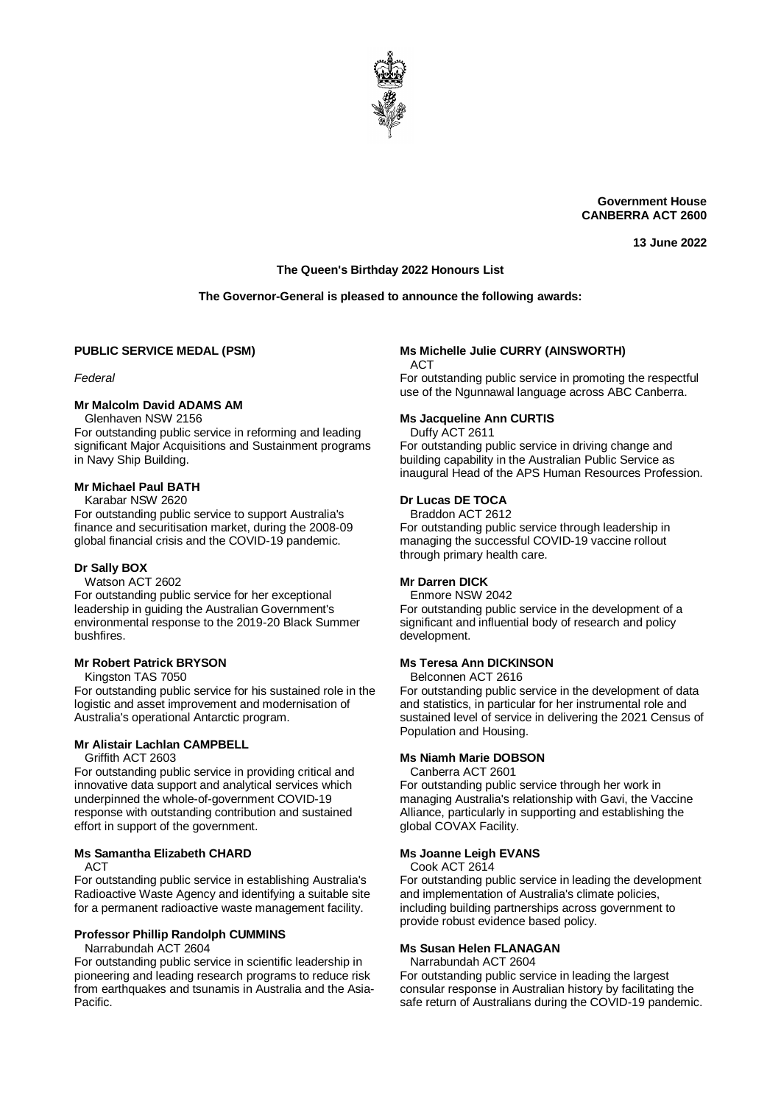

**Government House CANBERRA ACT 2600**

**13 June 2022**

# **The Queen's Birthday 2022 Honours List**

### **The Governor-General is pleased to announce the following awards:**

### **PUBLIC SERVICE MEDAL (PSM)**

*Federal*

#### **Mr Malcolm David ADAMS AM**

Glenhaven NSW 2156

For outstanding public service in reforming and leading significant Major Acquisitions and Sustainment programs in Navy Ship Building.

# **Mr Michael Paul BATH**

Karabar NSW 2620

For outstanding public service to support Australia's finance and securitisation market, during the 2008-09 global financial crisis and the COVID-19 pandemic.

### **Dr Sally BOX**

Watson ACT 2602

For outstanding public service for her exceptional leadership in guiding the Australian Government's environmental response to the 2019-20 Black Summer bushfires.

#### **Mr Robert Patrick BRYSON**

Kingston TAS 7050

For outstanding public service for his sustained role in the logistic and asset improvement and modernisation of Australia's operational Antarctic program.

# **Mr Alistair Lachlan CAMPBELL**

Griffith ACT 2603

For outstanding public service in providing critical and innovative data support and analytical services which underpinned the whole-of-government COVID-19 response with outstanding contribution and sustained effort in support of the government.

#### **Ms Samantha Elizabeth CHARD**

ACT

For outstanding public service in establishing Australia's Radioactive Waste Agency and identifying a suitable site for a permanent radioactive waste management facility.

### **Professor Phillip Randolph CUMMINS**

Narrabundah ACT 2604

For outstanding public service in scientific leadership in pioneering and leading research programs to reduce risk from earthquakes and tsunamis in Australia and the Asia-Pacific.

# **Ms Michelle Julie CURRY (AINSWORTH)**

AC<sub>T</sub>

For outstanding public service in promoting the respectful use of the Ngunnawal language across ABC Canberra.

#### **Ms Jacqueline Ann CURTIS**

Duffy ACT 2611

For outstanding public service in driving change and building capability in the Australian Public Service as inaugural Head of the APS Human Resources Profession.

### **Dr Lucas DE TOCA**

Braddon ACT 2612 For outstanding public service through leadership in managing the successful COVID-19 vaccine rollout through primary health care.

### **Mr Darren DICK**

Enmore NSW 2042

For outstanding public service in the development of a significant and influential body of research and policy development.

#### **Ms Teresa Ann DICKINSON**

Belconnen ACT 2616

For outstanding public service in the development of data and statistics, in particular for her instrumental role and sustained level of service in delivering the 2021 Census of Population and Housing.

#### **Ms Niamh Marie DOBSON**

Canberra ACT 2601

For outstanding public service through her work in managing Australia's relationship with Gavi, the Vaccine Alliance, particularly in supporting and establishing the global COVAX Facility.

#### **Ms Joanne Leigh EVANS**

Cook ACT 2614

For outstanding public service in leading the development and implementation of Australia's climate policies, including building partnerships across government to provide robust evidence based policy.

#### **Ms Susan Helen FLANAGAN**

Narrabundah ACT 2604

For outstanding public service in leading the largest consular response in Australian history by facilitating the safe return of Australians during the COVID-19 pandemic.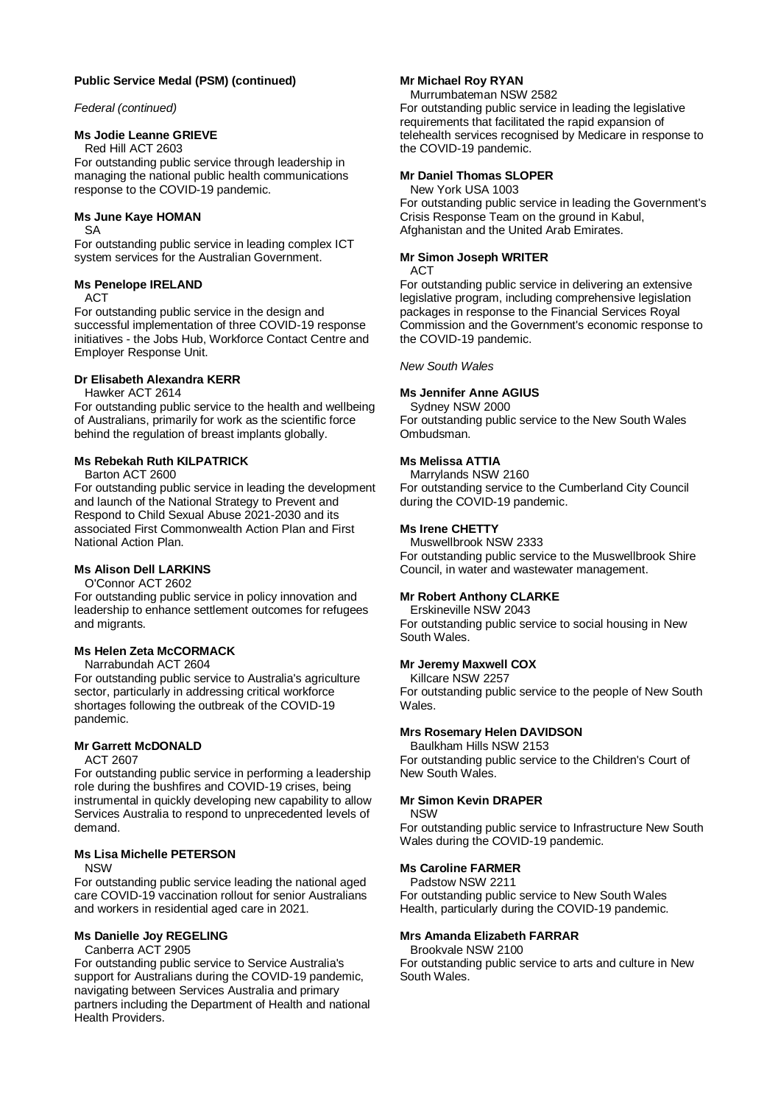### **Public Service Medal (PSM) (continued)**

#### *Federal (continued)*

### **Ms Jodie Leanne GRIEVE**

Red Hill ACT 2603

For outstanding public service through leadership in managing the national public health communications response to the COVID-19 pandemic.

### **Ms June Kaye HOMAN**

SA

For outstanding public service in leading complex ICT system services for the Australian Government.

#### **Ms Penelope IRELAND**

**ACT** 

For outstanding public service in the design and successful implementation of three COVID-19 response initiatives - the Jobs Hub, Workforce Contact Centre and Employer Response Unit.

### **Dr Elisabeth Alexandra KERR**

Hawker ACT 2614

For outstanding public service to the health and wellbeing of Australians, primarily for work as the scientific force behind the regulation of breast implants globally.

# **Ms Rebekah Ruth KILPATRICK**

Barton ACT 2600

For outstanding public service in leading the development and launch of the National Strategy to Prevent and Respond to Child Sexual Abuse 2021-2030 and its associated First Commonwealth Action Plan and First National Action Plan.

### **Ms Alison Dell LARKINS**

O'Connor ACT 2602

For outstanding public service in policy innovation and leadership to enhance settlement outcomes for refugees and migrants.

## **Ms Helen Zeta McCORMACK**

Narrabundah ACT 2604 For outstanding public service to Australia's agriculture sector, particularly in addressing critical workforce shortages following the outbreak of the COVID-19 pandemic.

### **Mr Garrett McDONALD**

ACT 2607

For outstanding public service in performing a leadership role during the bushfires and COVID-19 crises, being instrumental in quickly developing new capability to allow Services Australia to respond to unprecedented levels of demand.

#### **Ms Lisa Michelle PETERSON** NSW

For outstanding public service leading the national aged

care COVID-19 vaccination rollout for senior Australians and workers in residential aged care in 2021.

### **Ms Danielle Joy REGELING**

Canberra ACT 2905

For outstanding public service to Service Australia's support for Australians during the COVID-19 pandemic, navigating between Services Australia and primary partners including the Department of Health and national Health Providers.

#### **Mr Michael Roy RYAN**

Murrumbateman NSW 2582 For outstanding public service in leading the legislative requirements that facilitated the rapid expansion of telehealth services recognised by Medicare in response to the COVID-19 pandemic.

### **Mr Daniel Thomas SLOPER**

New York USA 1003 For outstanding public service in leading the Government's Crisis Response Team on the ground in Kabul, Afghanistan and the United Arab Emirates.

# **Mr Simon Joseph WRITER**

#### ACT

For outstanding public service in delivering an extensive legislative program, including comprehensive legislation packages in response to the Financial Services Royal Commission and the Government's economic response to the COVID-19 pandemic.

### *New South Wales*

### **Ms Jennifer Anne AGIUS**

Sydney NSW 2000 For outstanding public service to the New South Wales Ombudsman.

### **Ms Melissa ATTIA**

Marrylands NSW 2160 For outstanding service to the Cumberland City Council during the COVID-19 pandemic.

### **Ms Irene CHETTY**

Muswellbrook NSW 2333 For outstanding public service to the Muswellbrook Shire Council, in water and wastewater management.

#### **Mr Robert Anthony CLARKE**

Erskineville NSW 2043

For outstanding public service to social housing in New South Wales.

#### **Mr Jeremy Maxwell COX**

Killcare NSW 2257

For outstanding public service to the people of New South Wales.

#### **Mrs Rosemary Helen DAVIDSON**

Baulkham Hills NSW 2153 For outstanding public service to the Children's Court of New South Wales.

#### **Mr Simon Kevin DRAPER**

NSW

For outstanding public service to Infrastructure New South Wales during the COVID-19 pandemic.

#### **Ms Caroline FARMER**

Padstow NSW 2211

For outstanding public service to New South Wales Health, particularly during the COVID-19 pandemic.

#### **Mrs Amanda Elizabeth FARRAR**

Brookvale NSW 2100

For outstanding public service to arts and culture in New South Wales.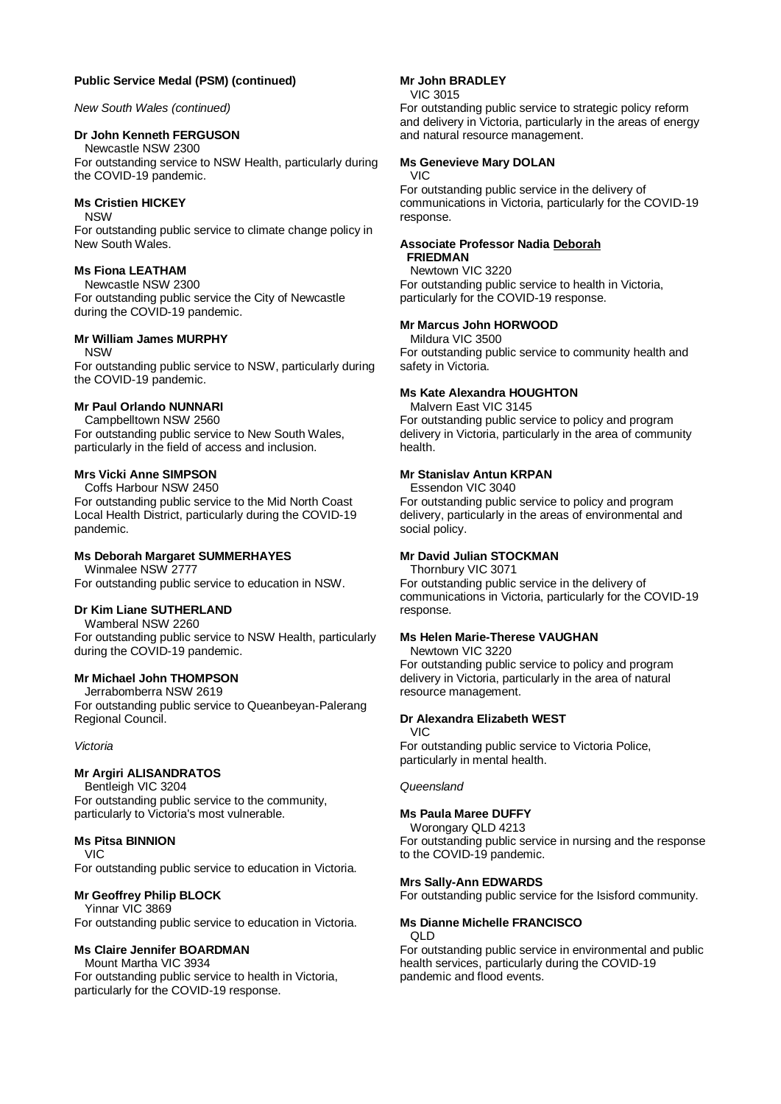### **Public Service Medal (PSM) (continued)**

*New South Wales (continued)*

# **Dr John Kenneth FERGUSON**

Newcastle NSW 2300 For outstanding service to NSW Health, particularly during the COVID-19 pandemic.

### **Ms Cristien HICKEY**

NSW

For outstanding public service to climate change policy in New South Wales.

### **Ms Fiona LEATHAM**

Newcastle NSW 2300 For outstanding public service the City of Newcastle during the COVID-19 pandemic.

### **Mr William James MURPHY**

NSW

For outstanding public service to NSW, particularly during the COVID-19 pandemic.

### **Mr Paul Orlando NUNNARI**

Campbelltown NSW 2560 For outstanding public service to New South Wales, particularly in the field of access and inclusion.

### **Mrs Vicki Anne SIMPSON**

Coffs Harbour NSW 2450

For outstanding public service to the Mid North Coast Local Health District, particularly during the COVID-19 pandemic.

# **Ms Deborah Margaret SUMMERHAYES**

Winmalee NSW 2777 For outstanding public service to education in NSW.

### **Dr Kim Liane SUTHERLAND**

Wamberal NSW 2260 For outstanding public service to NSW Health, particularly during the COVID-19 pandemic.

### **Mr Michael John THOMPSON**

Jerrabomberra NSW 2619 For outstanding public service to Queanbeyan-Palerang Regional Council.

#### *Victoria*

### **Mr Argiri ALISANDRATOS**

Bentleigh VIC 3204 For outstanding public service to the community, particularly to Victoria's most vulnerable.

### **Ms Pitsa BINNION**

VIC

For outstanding public service to education in Victoria.

### **Mr Geoffrey Philip BLOCK**

Yinnar VIC 3869 For outstanding public service to education in Victoria.

### **Ms Claire Jennifer BOARDMAN**

Mount Martha VIC 3934 For outstanding public service to health in Victoria, particularly for the COVID-19 response.

### **Mr John BRADLEY**

VIC 3015

For outstanding public service to strategic policy reform and delivery in Victoria, particularly in the areas of energy and natural resource management.

### **Ms Genevieve Mary DOLAN**

VIC

For outstanding public service in the delivery of communications in Victoria, particularly for the COVID-19 response.

### **Associate Professor Nadia Deborah FRIEDMAN**

Newtown VIC 3220 For outstanding public service to health in Victoria, particularly for the COVID-19 response.

### **Mr Marcus John HORWOOD**

Mildura VIC 3500 For outstanding public service to community health and safety in Victoria.

### **Ms Kate Alexandra HOUGHTON**

Malvern East VIC 3145 For outstanding public service to policy and program delivery in Victoria, particularly in the area of community health.

### **Mr Stanislav Antun KRPAN**

Essendon VIC 3040

For outstanding public service to policy and program delivery, particularly in the areas of environmental and social policy.

# **Mr David Julian STOCKMAN**

Thornbury VIC 3071 For outstanding public service in the delivery of communications in Victoria, particularly for the COVID-19 response.

### **Ms Helen Marie-Therese VAUGHAN**

Newtown VIC 3220 For outstanding public service to policy and program delivery in Victoria, particularly in the area of natural resource management.

### **Dr Alexandra Elizabeth WEST**

VIC

For outstanding public service to Victoria Police, particularly in mental health.

#### *Queensland*

### **Ms Paula Maree DUFFY**

Worongary QLD 4213 For outstanding public service in nursing and the response to the COVID-19 pandemic.

### **Mrs Sally-Ann EDWARDS**

For outstanding public service for the Isisford community.

#### **Ms Dianne Michelle FRANCISCO** QLD

For outstanding public service in environmental and public health services, particularly during the COVID-19 pandemic and flood events.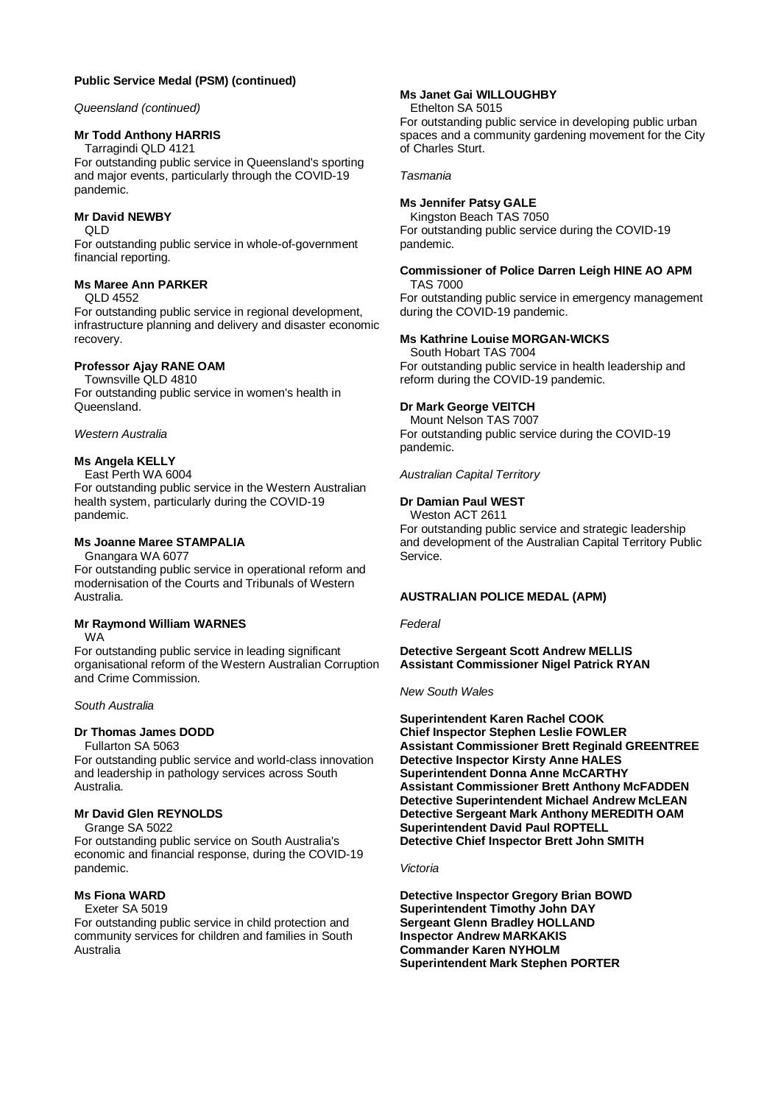### **Public Service Medal (PSM) (continued)**

### *Queensland (continued)*

### **Mr Todd Anthony HARRIS**

Tarragindi QLD 4121 For outstanding public service in Queensland's sporting and major events, particularly through the COVID-19 pandemic.

### **Mr David NEWBY**

QLD

For outstanding public service in whole-of-government financial reporting.

#### **Ms Maree Ann PARKER**

QLD 4552

For outstanding public service in regional development, infrastructure planning and delivery and disaster economic recovery.

# **Professor Ajay RANE OAM**

# Townsville QLD 4810

For outstanding public service in women's health in Queensland.

#### *Western Australia*

### **Ms Angela KELLY**

East Perth WA 6004 For outstanding public service in the Western Australian health system, particularly during the COVID-19 pandemic.

### **Ms Joanne Maree STAMPALIA**

Gnangara WA 6077

For outstanding public service in operational reform and modernisation of the Courts and Tribunals of Western Australia.

# **Mr Raymond William WARNES**

WA

For outstanding public service in leading significant organisational reform of the Western Australian Corruption and Crime Commission.

#### *South Australia*

#### **Dr Thomas James DODD**

Fullarton SA 5063

For outstanding public service and world-class innovation and leadership in pathology services across South Australia.

### **Mr David Glen REYNOLDS**

Grange SA 5022

For outstanding public service on South Australia's economic and financial response, during the COVID-19 pandemic.

# **Ms Fiona WARD**

Exeter SA 5019

For outstanding public service in child protection and community services for children and families in South Australia

# **Ms Janet Gai WILLOUGHBY**

Ethelton SA 5015

For outstanding public service in developing public urban spaces and a community gardening movement for the City of Charles Sturt.

*Tasmania*

### **Ms Jennifer Patsy GALE**

Kingston Beach TAS 7050 For outstanding public service during the COVID-19 pandemic.

## **Commissioner of Police Darren Leigh HINE AO APM**

TAS 7000 For outstanding public service in emergency management during the COVID-19 pandemic.

### **Ms Kathrine Louise MORGAN-WICKS**

South Hobart TAS 7004 For outstanding public service in health leadership and reform during the COVID-19 pandemic.

### **Dr Mark George VEITCH**

Mount Nelson TAS 7007 For outstanding public service during the COVID-19 pandemic.

#### *Australian Capital Territory*

### **Dr Damian Paul WEST**

Weston ACT 2611

For outstanding public service and strategic leadership and development of the Australian Capital Territory Public Service.

#### **AUSTRALIAN POLICE MEDAL (APM)**

#### *Federal*

**Detective Sergeant Scott Andrew MELLIS Assistant Commissioner Nigel Patrick RYAN**

#### *New South Wales*

**Superintendent Karen Rachel COOK Chief Inspector Stephen Leslie FOWLER Assistant Commissioner Brett Reginald GREENTREE Detective Inspector Kirsty Anne HALES Superintendent Donna Anne McCARTHY Assistant Commissioner Brett Anthony McFADDEN Detective Superintendent Michael Andrew McLEAN Detective Sergeant Mark Anthony MEREDITH OAM Superintendent David Paul ROPTELL Detective Chief Inspector Brett John SMITH**

#### *Victoria*

**Detective Inspector Gregory Brian BOWD Superintendent Timothy John DAY Sergeant Glenn Bradley HOLLAND Inspector Andrew MARKAKIS Commander Karen NYHOLM Superintendent Mark Stephen PORTER**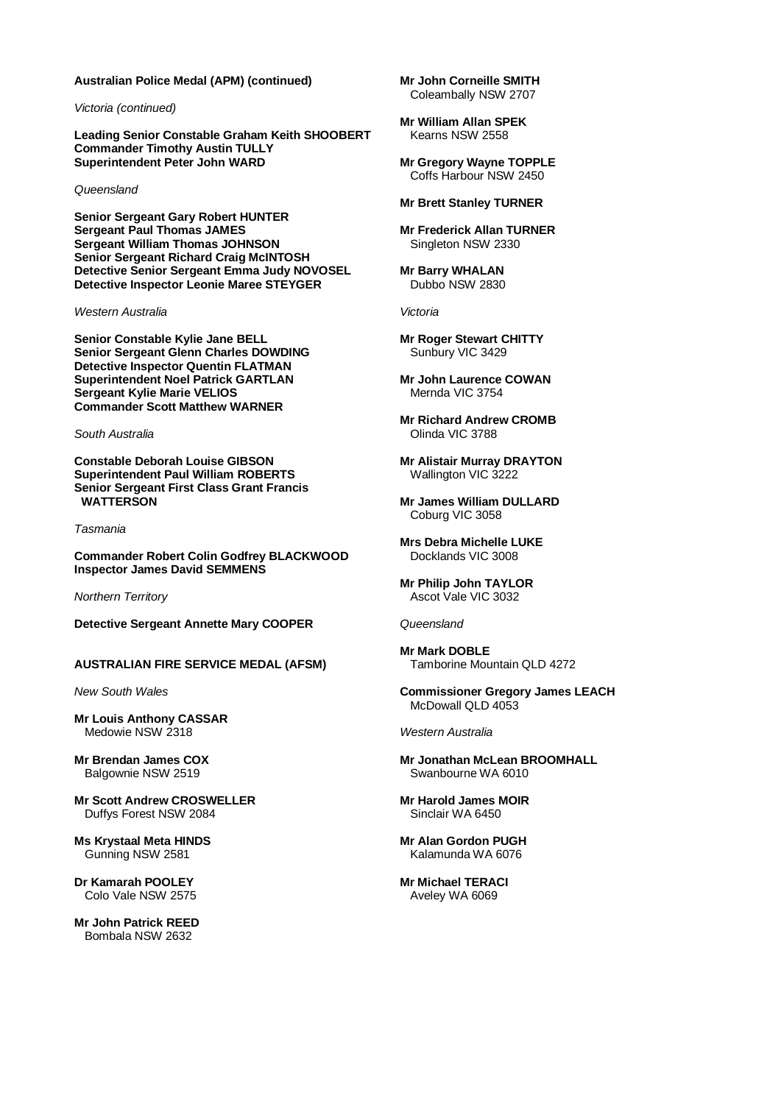#### **Australian Police Medal (APM) (continued)**

*Victoria (continued)*

**Leading Senior Constable Graham Keith SHOOBERT Commander Timothy Austin TULLY Superintendent Peter John WARD**

#### *Queensland*

**Senior Sergeant Gary Robert HUNTER Sergeant Paul Thomas JAMES Sergeant William Thomas JOHNSON Senior Sergeant Richard Craig McINTOSH Detective Senior Sergeant Emma Judy NOVOSEL Detective Inspector Leonie Maree STEYGER**

*Western Australia*

**Senior Constable Kylie Jane BELL Senior Sergeant Glenn Charles DOWDING Detective Inspector Quentin FLATMAN Superintendent Noel Patrick GARTLAN Sergeant Kylie Marie VELIOS Commander Scott Matthew WARNER**

*South Australia*

**Constable Deborah Louise GIBSON Superintendent Paul William ROBERTS Senior Sergeant First Class Grant Francis WATTERSON**

*Tasmania*

**Commander Robert Colin Godfrey BLACKWOOD Inspector James David SEMMENS**

*Northern Territory*

**Detective Sergeant Annette Mary COOPER**

**AUSTRALIAN FIRE SERVICE MEDAL (AFSM)**

*New South Wales*

**Mr Louis Anthony CASSAR** Medowie NSW 2318

**Mr Brendan James COX** Balgownie NSW 2519

**Mr Scott Andrew CROSWELLER** Duffys Forest NSW 2084

**Ms Krystaal Meta HINDS** Gunning NSW 2581

**Dr Kamarah POOLEY** Colo Vale NSW 2575

**Mr John Patrick REED** Bombala NSW 2632

**Mr John Corneille SMITH** Coleambally NSW 2707

**Mr William Allan SPEK** Kearns NSW 2558

**Mr Gregory Wayne TOPPLE** Coffs Harbour NSW 2450

#### **Mr Brett Stanley TURNER**

**Mr Frederick Allan TURNER** Singleton NSW 2330

**Mr Barry WHALAN** Dubbo NSW 2830

*Victoria*

**Mr Roger Stewart CHITTY** Sunbury VIC 3429

**Mr John Laurence COWAN** Mernda VIC 3754

**Mr Richard Andrew CROMB** Olinda VIC 3788

**Mr Alistair Murray DRAYTON** Wallington VIC 3222

**Mr James William DULLARD** Coburg VIC 3058

**Mrs Debra Michelle LUKE** Docklands VIC 3008

**Mr Philip John TAYLOR** Ascot Vale VIC 3032

*Queensland*

**Mr Mark DOBLE** Tamborine Mountain QLD 4272

**Commissioner Gregory James LEACH** McDowall QLD 4053

*Western Australia*

**Mr Jonathan McLean BROOMHALL** Swanbourne WA 6010

**Mr Harold James MOIR** Sinclair WA 6450

**Mr Alan Gordon PUGH** Kalamunda WA 6076

**Mr Michael TERACI** Aveley WA 6069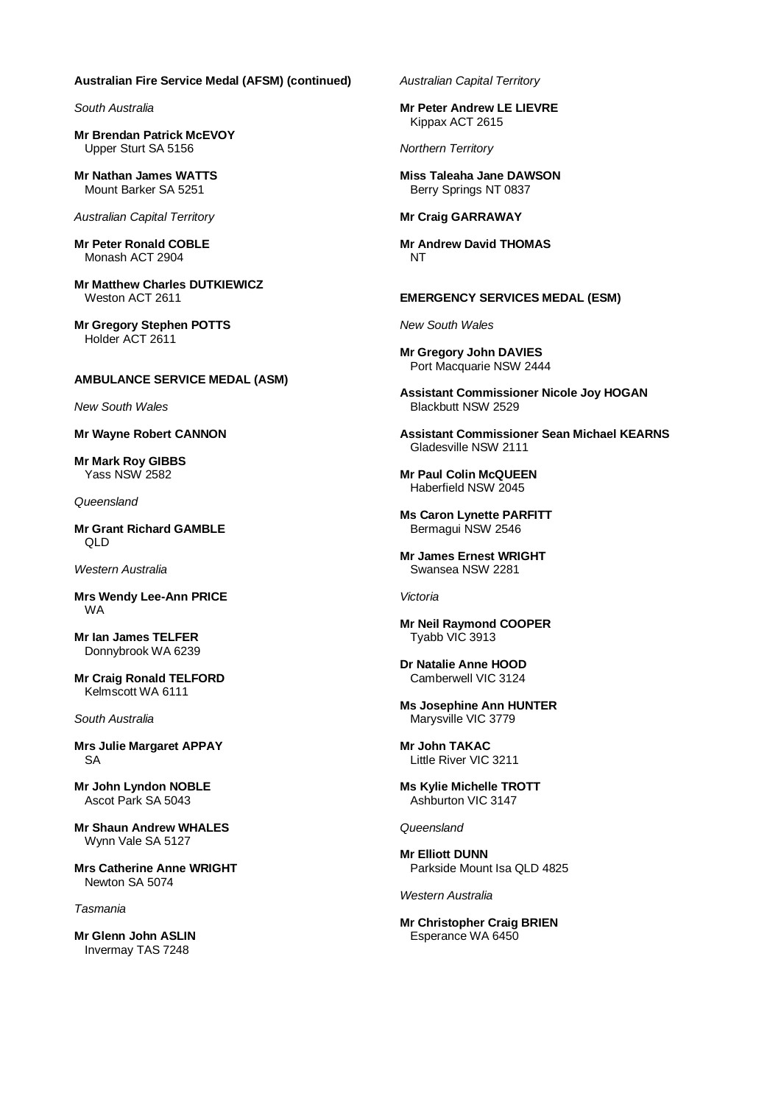#### **Australian Fire Service Medal (AFSM) (continued)**

*South Australia*

**Mr Brendan Patrick McEVOY** Upper Sturt SA 5156

**Mr Nathan James WATTS** Mount Barker SA 5251

*Australian Capital Territory*

**Mr Peter Ronald COBLE** Monash ACT 2904

**Mr Matthew Charles DUTKIEWICZ** Weston ACT 2611

**Mr Gregory Stephen POTTS** Holder ACT 2611

### **AMBULANCE SERVICE MEDAL (ASM)**

*New South Wales*

**Mr Wayne Robert CANNON**

**Mr Mark Roy GIBBS** Yass NSW 2582

*Queensland*

**Mr Grant Richard GAMBLE** QLD

*Western Australia*

**Mrs Wendy Lee-Ann PRICE** WA

**Mr Ian James TELFER** Donnybrook WA 6239

**Mr Craig Ronald TELFORD** Kelmscott WA 6111

*South Australia*

**Mrs Julie Margaret APPAY** SA

**Mr John Lyndon NOBLE** Ascot Park SA 5043

**Mr Shaun Andrew WHALES** Wynn Vale SA 5127

**Mrs Catherine Anne WRIGHT** Newton SA 5074

*Tasmania*

**Mr Glenn John ASLIN** Invermay TAS 7248

*Australian Capital Territory*

**Mr Peter Andrew LE LIEVRE** Kippax ACT 2615

*Northern Territory*

**Miss Taleaha Jane DAWSON** Berry Springs NT 0837

#### **Mr Craig GARRAWAY**

**Mr Andrew David THOMAS** NT

#### **EMERGENCY SERVICES MEDAL (ESM)**

*New South Wales*

**Mr Gregory John DAVIES** Port Macquarie NSW 2444

**Assistant Commissioner Nicole Joy HOGAN** Blackbutt NSW 2529

**Assistant Commissioner Sean Michael KEARNS** Gladesville NSW 2111

**Mr Paul Colin McQUEEN** Haberfield NSW 2045

**Ms Caron Lynette PARFITT** Bermagui NSW 2546

**Mr James Ernest WRIGHT** Swansea NSW 2281

*Victoria*

**Mr Neil Raymond COOPER** Tyabb VIC 3913

**Dr Natalie Anne HOOD** Camberwell VIC 3124

**Ms Josephine Ann HUNTER** Marysville VIC 3779

**Mr John TAKAC** Little River VIC 3211

**Ms Kylie Michelle TROTT** Ashburton VIC 3147

*Queensland*

**Mr Elliott DUNN** Parkside Mount Isa QLD 4825

*Western Australia*

**Mr Christopher Craig BRIEN** Esperance WA 6450